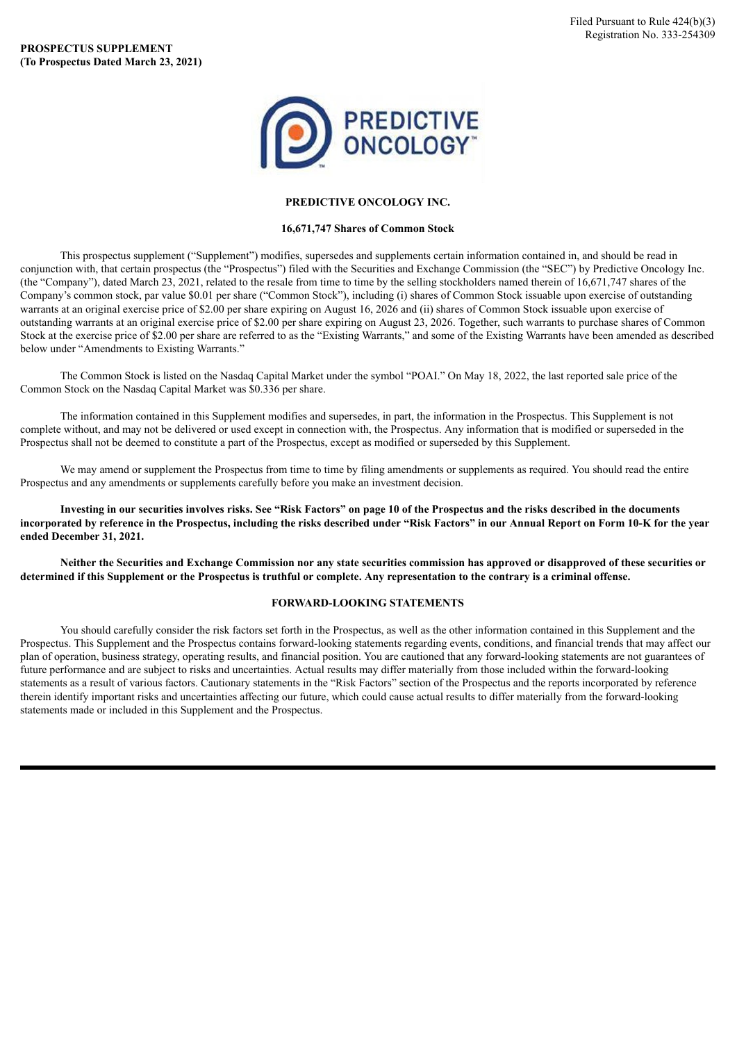

## **PREDICTIVE ONCOLOGY INC.**

## **16,671,747 Shares of Common Stock**

This prospectus supplement ("Supplement") modifies, supersedes and supplements certain information contained in, and should be read in conjunction with, that certain prospectus (the "Prospectus") filed with the Securities and Exchange Commission (the "SEC") by Predictive Oncology Inc. (the "Company"), dated March 23, 2021, related to the resale from time to time by the selling stockholders named therein of 16,671,747 shares of the Company's common stock, par value \$0.01 per share ("Common Stock"), including (i) shares of Common Stock issuable upon exercise of outstanding warrants at an original exercise price of \$2.00 per share expiring on August 16, 2026 and (ii) shares of Common Stock issuable upon exercise of outstanding warrants at an original exercise price of \$2.00 per share expiring on August 23, 2026. Together, such warrants to purchase shares of Common Stock at the exercise price of \$2.00 per share are referred to as the "Existing Warrants," and some of the Existing Warrants have been amended as described below under "Amendments to Existing Warrants."

The Common Stock is listed on the Nasdaq Capital Market under the symbol "POAI." On May 18, 2022, the last reported sale price of the Common Stock on the Nasdaq Capital Market was \$0.336 per share.

The information contained in this Supplement modifies and supersedes, in part, the information in the Prospectus. This Supplement is not complete without, and may not be delivered or used except in connection with, the Prospectus. Any information that is modified or superseded in the Prospectus shall not be deemed to constitute a part of the Prospectus, except as modified or superseded by this Supplement.

We may amend or supplement the Prospectus from time to time by filing amendments or supplements as required. You should read the entire Prospectus and any amendments or supplements carefully before you make an investment decision.

Investing in our securities involves risks. See "Risk Factors" on page 10 of the Prospectus and the risks described in the documents incorporated by reference in the Prospectus, including the risks described under "Risk Factors" in our Annual Report on Form 10-K for the year **ended December 31, 2021.**

Neither the Securities and Exchange Commission nor any state securities commission has approved or disapproved of these securities or determined if this Supplement or the Prospectus is truthful or complete. Any representation to the contrary is a criminal offense.

## **FORWARD-LOOKING STATEMENTS**

You should carefully consider the risk factors set forth in the Prospectus, as well as the other information contained in this Supplement and the Prospectus. This Supplement and the Prospectus contains forward-looking statements regarding events, conditions, and financial trends that may affect our plan of operation, business strategy, operating results, and financial position. You are cautioned that any forward-looking statements are not guarantees of future performance and are subject to risks and uncertainties. Actual results may differ materially from those included within the forward-looking statements as a result of various factors. Cautionary statements in the "Risk Factors" section of the Prospectus and the reports incorporated by reference therein identify important risks and uncertainties affecting our future, which could cause actual results to differ materially from the forward-looking statements made or included in this Supplement and the Prospectus.